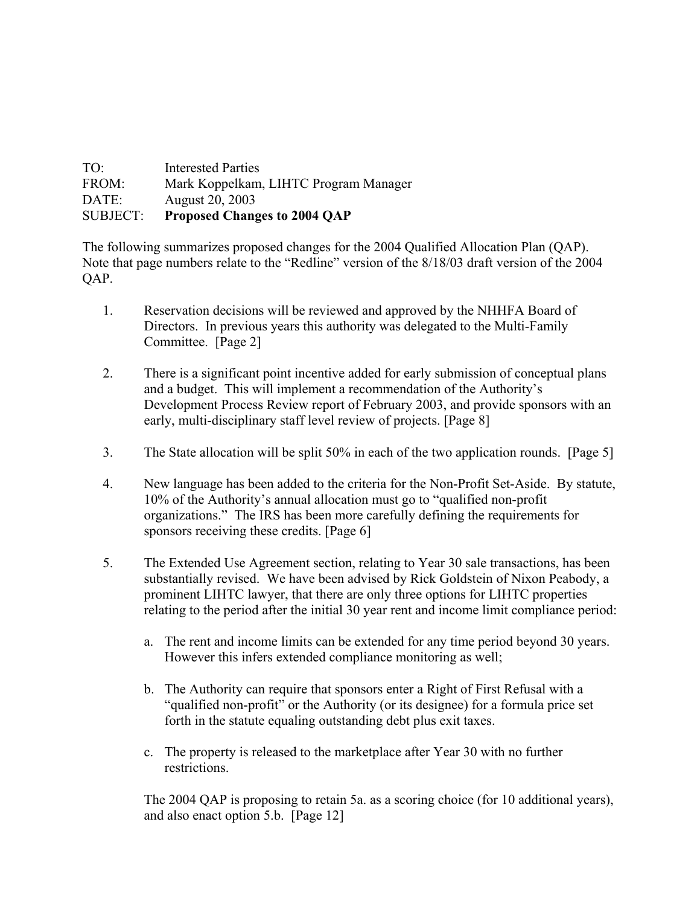| TO <sup>1</sup> | <b>Interested Parties</b>             |
|-----------------|---------------------------------------|
| FROM:           | Mark Koppelkam, LIHTC Program Manager |
| DATE:           | August 20, 2003                       |
| <b>SUBJECT:</b> | <b>Proposed Changes to 2004 OAP</b>   |

The following summarizes proposed changes for the 2004 Qualified Allocation Plan (QAP). Note that page numbers relate to the "Redline" version of the 8/18/03 draft version of the 2004 QAP.

- 1. Reservation decisions will be reviewed and approved by the NHHFA Board of Directors. In previous years this authority was delegated to the Multi-Family Committee. [Page 2]
- 2. There is a significant point incentive added for early submission of conceptual plans and a budget. This will implement a recommendation of the Authority's Development Process Review report of February 2003, and provide sponsors with an early, multi-disciplinary staff level review of projects. [Page 8]
- 3. The State allocation will be split 50% in each of the two application rounds. [Page 5]
- 4. New language has been added to the criteria for the Non-Profit Set-Aside. By statute, 10% of the Authority's annual allocation must go to "qualified non-profit organizations." The IRS has been more carefully defining the requirements for sponsors receiving these credits. [Page 6]
- 5. The Extended Use Agreement section, relating to Year 30 sale transactions, has been substantially revised. We have been advised by Rick Goldstein of Nixon Peabody, a prominent LIHTC lawyer, that there are only three options for LIHTC properties relating to the period after the initial 30 year rent and income limit compliance period:
	- a. The rent and income limits can be extended for any time period beyond 30 years. However this infers extended compliance monitoring as well;
	- b. The Authority can require that sponsors enter a Right of First Refusal with a "qualified non-profit" or the Authority (or its designee) for a formula price set forth in the statute equaling outstanding debt plus exit taxes.
	- c. The property is released to the marketplace after Year 30 with no further restrictions.

The 2004 QAP is proposing to retain 5a. as a scoring choice (for 10 additional years), and also enact option 5.b. [Page 12]